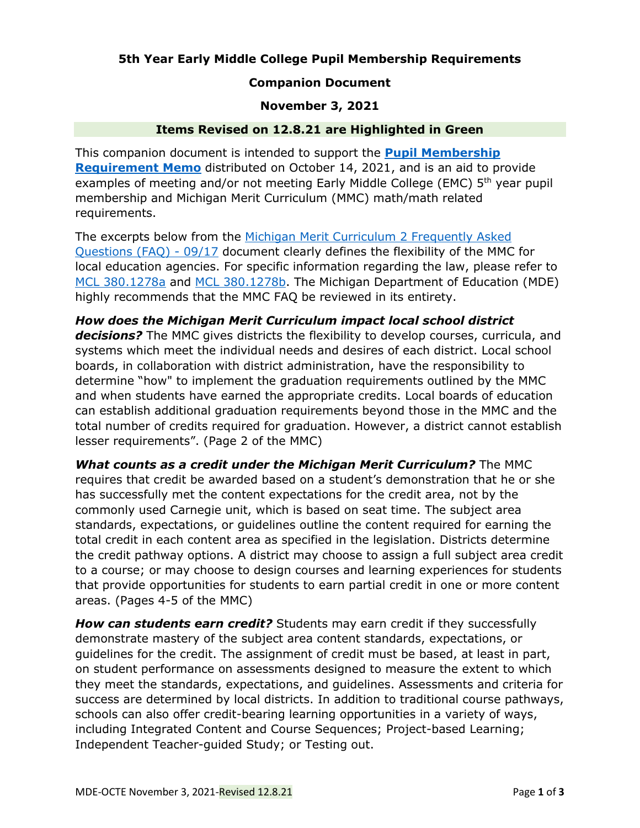## **5th Year Early Middle College Pupil Membership Requirements**

### **Companion Document**

#### **November 3, 2021**

#### **Items Revised on 12.8.21 are Highlighted in Green**

This companion document is intended to support the **[Pupil Membership](https://www.michigan.gov/documents/mde/Pupil_Membership_Requirements_for_Fifth_Year_EMC_Students_738474_7.pdf)  [Requirement Memo](https://www.michigan.gov/documents/mde/Pupil_Membership_Requirements_for_Fifth_Year_EMC_Students_738474_7.pdf)** distributed on October 14, 2021, and is an aid to provide examples of meeting and/or not meeting Early Middle College (EMC)  $5<sup>th</sup>$  year pupil membership and Michigan Merit Curriculum (MMC) math/math related requirements.

The excerpts below from the [Michigan Merit Curriculum 2 Frequently Asked](https://www.michigan.gov/documents/mde/5_-_Michigan_Merit_Curriculum_FAQ_703320_7.pdf)  [Questions \(FAQ\) -](https://www.michigan.gov/documents/mde/5_-_Michigan_Merit_Curriculum_FAQ_703320_7.pdf) 09/17 document clearly defines the flexibility of the MMC for local education agencies. For specific information regarding the law, please refer to [MCL 380.1278a](http://legislature.mi.gov/doc.aspx?mcl-380-1278a) and [MCL 380.1278b.](http://legislature.mi.gov/doc.aspx?mcl-380-1278b) The Michigan Department of Education (MDE) highly recommends that the MMC FAQ be reviewed in its entirety.

*How does the Michigan Merit Curriculum impact local school district decisions?* The MMC gives districts the flexibility to develop courses, curricula, and systems which meet the individual needs and desires of each district. Local school boards, in collaboration with district administration, have the responsibility to determine "how" to implement the graduation requirements outlined by the MMC and when students have earned the appropriate credits. Local boards of education can establish additional graduation requirements beyond those in the MMC and the total number of credits required for graduation. However, a district cannot establish lesser requirements". (Page 2 of the MMC)

*What counts as a credit under the Michigan Merit Curriculum?* The MMC requires that credit be awarded based on a student's demonstration that he or she has successfully met the content expectations for the credit area, not by the commonly used Carnegie unit, which is based on seat time. The subject area standards, expectations, or guidelines outline the content required for earning the total credit in each content area as specified in the legislation. Districts determine the credit pathway options. A district may choose to assign a full subject area credit to a course; or may choose to design courses and learning experiences for students that provide opportunities for students to earn partial credit in one or more content areas. (Pages 4-5 of the MMC)

*How can students earn credit?* Students may earn credit if they successfully demonstrate mastery of the subject area content standards, expectations, or guidelines for the credit. The assignment of credit must be based, at least in part, on student performance on assessments designed to measure the extent to which they meet the standards, expectations, and guidelines. Assessments and criteria for success are determined by local districts. In addition to traditional course pathways, schools can also offer credit-bearing learning opportunities in a variety of ways, including Integrated Content and Course Sequences; Project-based Learning; Independent Teacher-guided Study; or Testing out.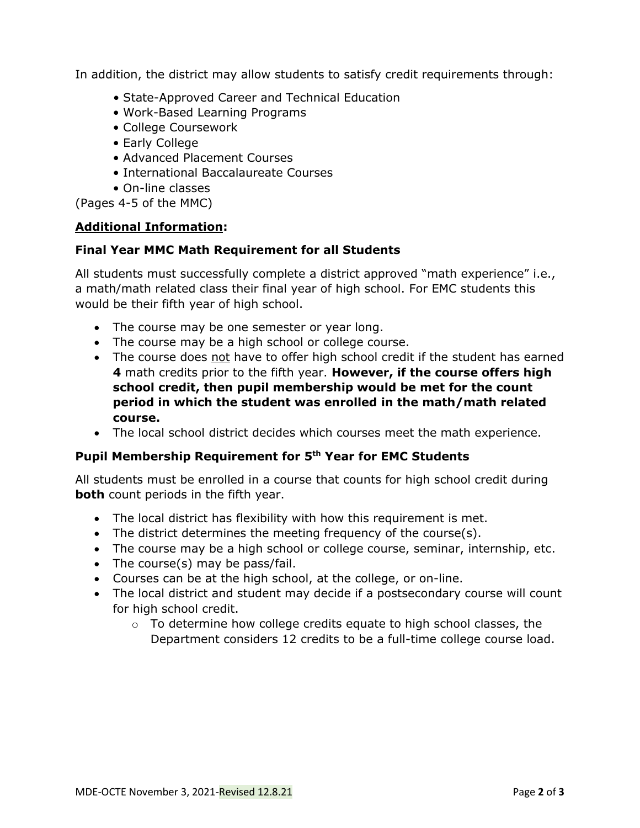In addition, the district may allow students to satisfy credit requirements through:

- State-Approved Career and Technical Education
- Work-Based Learning Programs
- College Coursework
- Early College
- Advanced Placement Courses
- International Baccalaureate Courses
- On-line classes

(Pages 4-5 of the MMC)

## **Additional Information:**

## **Final Year MMC Math Requirement for all Students**

All students must successfully complete a district approved "math experience" i.e., a math/math related class their final year of high school. For EMC students this would be their fifth year of high school.

- The course may be one semester or year long.
- The course may be a high school or college course.
- The course does not have to offer high school credit if the student has earned **4** math credits prior to the fifth year. **However, if the course offers high school credit, then pupil membership would be met for the count period in which the student was enrolled in the math/math related course.**
- The local school district decides which courses meet the math experience.

# **Pupil Membership Requirement for 5 th Year for EMC Students**

All students must be enrolled in a course that counts for high school credit during **both** count periods in the fifth year.

- The local district has flexibility with how this requirement is met.
- The district determines the meeting frequency of the course(s).
- The course may be a high school or college course, seminar, internship, etc.
- The course(s) may be pass/fail.
- Courses can be at the high school, at the college, or on-line.
- The local district and student may decide if a postsecondary course will count for high school credit.
	- $\circ$  To determine how college credits equate to high school classes, the Department considers 12 credits to be a full-time college course load.